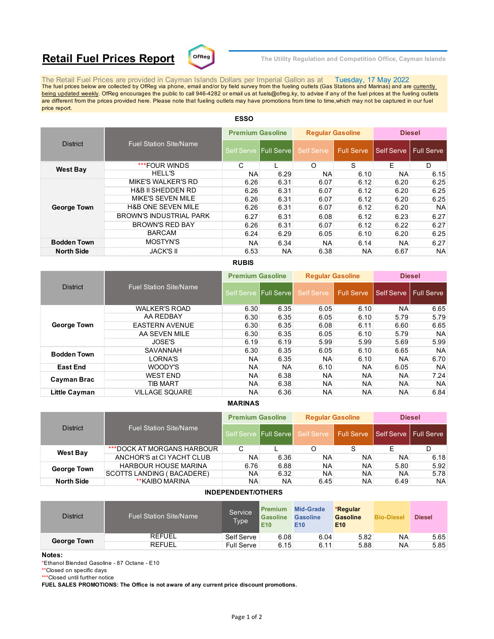# **Retail Fuel Prices Report**  $\text{C}^{\text{DFReg}}$  The Utility Regulation and Competition Office, Cayman Islands



The Retail Fuel Prices are provided in Cayman Islands Dollars per Imperial Gallon as at Tuesday, 17 May 2022<br>The fuel prices below are collected by OfReg via phone, email and/or by field survey from the fueling outlets (G being updated weekly. OfReg encourages the public to call 946-4282 or email us at fuels@ofreg.ky, to advise if any of the fuel prices at the fueling outlets are different from the prices provided here. Please note that fueling outlets may have promotions from time to time,which may not be captured in our fuel price report.

| <b>District</b>    |                                | <b>Premium Gasoline</b> |                       | <b>Regular Gasoline</b> |            | <b>Diesel</b>           |      |
|--------------------|--------------------------------|-------------------------|-----------------------|-------------------------|------------|-------------------------|------|
|                    | <b>Fuel Station Site/Name</b>  |                         | Self Serve Full Serve | Self Serve              | Full Serve | Self Serve   Full Serve |      |
|                    | ***FOUR WINDS                  |                         |                       | ∩                       | S          | F                       | D    |
| <b>West Bay</b>    | <b>HELL'S</b>                  | <b>NA</b>               | 6.29                  | NA:                     | 6.10       | <b>NA</b>               | 6.15 |
|                    | <b>MIKE'S WALKER'S RD</b>      | 6.26                    | 6.31                  | 6.07                    | 6.12       | 6.20                    | 6.25 |
|                    | <b>H&amp;B II SHEDDEN RD</b>   | 6.26                    | 6.31                  | 6.07                    | 6.12       | 6.20                    | 6.25 |
|                    | MIKE'S SEVEN MILE              | 6.26                    | 6.31                  | 6.07                    | 6.12       | 6.20                    | 6.25 |
| <b>George Town</b> | <b>H&amp;B ONE SEVEN MILE</b>  | 6.26                    | 6.31                  | 6.07                    | 6.12       | 6.20                    | NA.  |
|                    | <b>BROWN'S INDUSTRIAL PARK</b> | 6.27                    | 6.31                  | 6.08                    | 6.12       | 6.23                    | 6.27 |
|                    | <b>BROWN'S RED BAY</b>         | 6.26                    | 6.31                  | 6.07                    | 6.12       | 6.22                    | 6.27 |
|                    | <b>BARCAM</b>                  | 6.24                    | 6.29                  | 6.05                    | 6.10       | 6.20                    | 6.25 |
| <b>Bodden Town</b> | <b>MOSTYN'S</b>                | NA.                     | 6.34                  | <b>NA</b>               | 6.14       | <b>NA</b>               | 6.27 |
| <b>North Side</b>  | <b>JACK'S II</b>               | 6.53                    | NA.                   | 6.38                    | NA:        | 6.67                    | NA.  |
|                    |                                |                         |                       |                         |            |                         |      |

# **ESSO**

## **RUBIS**

|                    |                               |                   | <b>Premium Gasoline</b> |                   | <b>Regular Gasoline</b> |            | <b>Diesel</b>     |  |
|--------------------|-------------------------------|-------------------|-------------------------|-------------------|-------------------------|------------|-------------------|--|
| <b>District</b>    | <b>Fuel Station Site/Name</b> | <b>Self Serve</b> | <b>Full Servel</b>      | <b>Self Serve</b> | <b>Full Serve</b>       | Self Serve | <b>Full Serve</b> |  |
|                    | <b>WALKER'S ROAD</b>          | 6.30              | 6.35                    | 6.05              | 6.10                    | <b>NA</b>  | 6.65              |  |
|                    | AA REDBAY                     | 6.30              | 6.35                    | 6.05              | 6.10                    | 5.79       | 5.79              |  |
| <b>George Town</b> | <b>EASTERN AVENUE</b>         | 6.30              | 6.35                    | 6.08              | 6.11                    | 6.60       | 6.65              |  |
|                    | AA SEVEN MILE                 | 6.30              | 6.35                    | 6.05              | 6.10                    | 5.79       | NA:               |  |
|                    | <b>JOSE'S</b>                 | 6.19              | 6.19                    | 5.99              | 5.99                    | 5.69       | 5.99              |  |
| <b>Bodden Town</b> | SAVANNAH                      | 6.30              | 6.35                    | 6.05              | 6.10                    | 6.65       | <b>NA</b>         |  |
|                    | I ORNA'S                      | ΝA                | 6.35                    | <b>NA</b>         | 6.10                    | <b>NA</b>  | 6.70              |  |
| <b>East End</b>    | WOODY'S                       | ΝA                | <b>NA</b>               | 6.10              | NA:                     | 6.05       | NA:               |  |
| Cayman Brac        | <b>WEST FND</b>               | NA.               | 6.38                    | <b>NA</b>         | NA:                     | <b>NA</b>  | 7.24              |  |
|                    | TIB MART                      | <b>NA</b>         | 6.38                    | NA:               | NA:                     | <b>NA</b>  | <b>NA</b>         |  |
| Little Cayman      | <b>VILLAGE SQUARE</b>         | <b>NA</b>         | 6.36                    | NA.               | NA:                     | <b>NA</b>  | 6.84              |  |

#### **MARINAS**

| <b>District</b>    |                               | <b>Premium Gasoline</b> |                    | <b>Regular Gasoline</b>                           |     | <b>Diesel</b> |           |
|--------------------|-------------------------------|-------------------------|--------------------|---------------------------------------------------|-----|---------------|-----------|
|                    | <b>Fuel Station Site/Name</b> | Self Serve              | <b>Full Servel</b> | Self Serve   Full Serve   Self Serve   Full Serve |     |               |           |
| <b>West Bay</b>    | *** DOCK AT MORGANS HARBOUR   |                         |                    |                                                   |     |               |           |
|                    | ANCHOR'S at CI YACHT CLUB     | <b>NA</b>               | 6.36               | NA.                                               | NA: | NA.           | 6.18      |
| <b>George Town</b> | <b>HARBOUR HOUSE MARINA</b>   | 6.76                    | 6.88               | NA.                                               | NA: | 5.80          | 5.92      |
|                    | SCOTTS LANDING (BACADERE)     | <b>NA</b>               | 6.32               | <b>NA</b>                                         | NA: | NA.           | 5.78      |
| <b>North Side</b>  | **KAIBO MARINA                | ΝA                      | ΝA                 | 6.45                                              | NA: | 6.49          | <b>NA</b> |

### **INDEPENDENT/OTHERS**

| <b>District</b>    | <b>Fuel Station Site/Name</b> | Service<br>Type | Premium<br><b>Gasoline</b><br>E <sub>10</sub> | <b>Mid-Grade</b><br><b>Gasoline</b><br>E10 | *Regular<br><b>Gasoline</b><br>E <sub>10</sub> | <b>Bio-Diesel</b> | <b>Diesel</b> |
|--------------------|-------------------------------|-----------------|-----------------------------------------------|--------------------------------------------|------------------------------------------------|-------------------|---------------|
| <b>George Town</b> | <b>REFUEL</b>                 | Self Serve      | 6.08                                          | 6.04                                       | 5.82                                           | NA                | 5.65          |
|                    | <b>REFUEL</b>                 | Full Serve      | 6.15                                          | 6.11                                       | 5.88                                           | NA                | 5.85:         |

#### **Notes:**

\*Ethanol Blended Gasoline - 87 Octane - E10

\*\*Closed on specific days

\*\*\*Closed until further notice

**FUEL SALES PROMOTIONS: The Office is not aware of any current price discount promotions.**